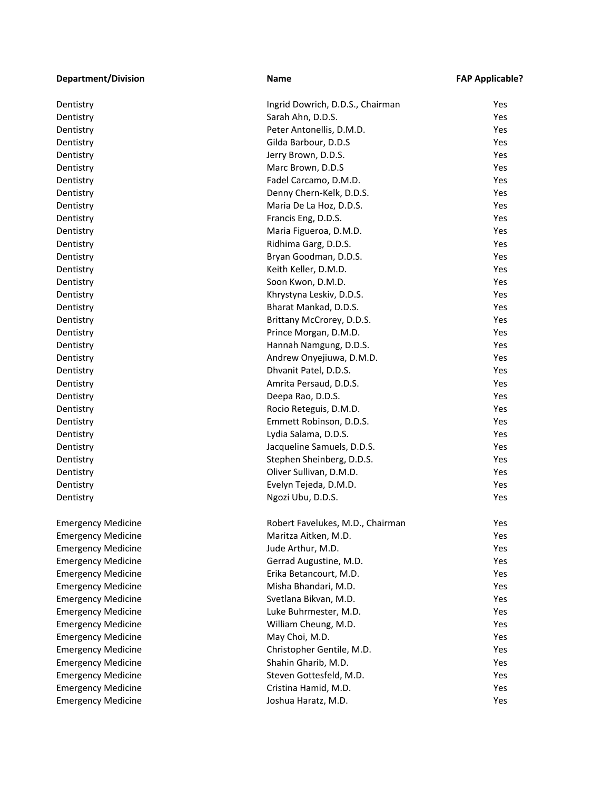| <b>Department/Division</b> | <b>Name</b>                      | <b>FAP Applicable?</b> |
|----------------------------|----------------------------------|------------------------|
| Dentistry                  | Ingrid Dowrich, D.D.S., Chairman | Yes                    |
| Dentistry                  | Sarah Ahn, D.D.S.                | Yes                    |
| Dentistry                  | Peter Antonellis, D.M.D.         | Yes                    |
| Dentistry                  | Gilda Barbour, D.D.S             | Yes                    |
| Dentistry                  | Jerry Brown, D.D.S.              | Yes                    |
| Dentistry                  | Marc Brown, D.D.S                | Yes                    |
| Dentistry                  | Fadel Carcamo, D.M.D.            | Yes                    |
| Dentistry                  | Denny Chern-Kelk, D.D.S.         | Yes                    |
| Dentistry                  | Maria De La Hoz, D.D.S.          | Yes                    |
| Dentistry                  | Francis Eng, D.D.S.              | Yes                    |
| Dentistry                  | Maria Figueroa, D.M.D.           | Yes                    |
| Dentistry                  | Ridhima Garg, D.D.S.             | Yes                    |
| Dentistry                  | Bryan Goodman, D.D.S.            | Yes                    |
| Dentistry                  | Keith Keller, D.M.D.             | Yes                    |
| Dentistry                  | Soon Kwon, D.M.D.                | Yes                    |
| Dentistry                  | Khrystyna Leskiv, D.D.S.         | Yes                    |
| Dentistry                  | Bharat Mankad, D.D.S.            | Yes                    |
| Dentistry                  | Brittany McCrorey, D.D.S.        | Yes                    |
| Dentistry                  | Prince Morgan, D.M.D.            | Yes                    |
| Dentistry                  | Hannah Namgung, D.D.S.           | Yes                    |
| Dentistry                  | Andrew Onyejiuwa, D.M.D.         | Yes                    |
| Dentistry                  | Dhvanit Patel, D.D.S.            | Yes                    |
| Dentistry                  | Amrita Persaud, D.D.S.           | Yes                    |
| Dentistry                  | Deepa Rao, D.D.S.                | Yes                    |
| Dentistry                  | Rocio Reteguis, D.M.D.           | Yes                    |
| Dentistry                  | Emmett Robinson, D.D.S.          | Yes                    |
| Dentistry                  | Lydia Salama, D.D.S.             | Yes                    |
| Dentistry                  | Jacqueline Samuels, D.D.S.       | Yes                    |
| Dentistry                  | Stephen Sheinberg, D.D.S.        | Yes                    |
| Dentistry                  | Oliver Sullivan, D.M.D.          | Yes                    |
| Dentistry                  | Evelyn Tejeda, D.M.D.            | Yes                    |
| Dentistry                  | Ngozi Ubu, D.D.S.                | Yes                    |
| <b>Emergency Medicine</b>  | Robert Favelukes, M.D., Chairman | Yes                    |
| <b>Emergency Medicine</b>  | Maritza Aitken, M.D.             | Yes                    |
| <b>Emergency Medicine</b>  | Jude Arthur, M.D.                | Yes                    |
| <b>Emergency Medicine</b>  | Gerrad Augustine, M.D.           | Yes                    |
| <b>Emergency Medicine</b>  | Erika Betancourt, M.D.           | Yes                    |
| <b>Emergency Medicine</b>  | Misha Bhandari, M.D.             | Yes                    |
| <b>Emergency Medicine</b>  | Svetlana Bikvan, M.D.            | Yes                    |
| <b>Emergency Medicine</b>  | Luke Buhrmester, M.D.            | Yes                    |
| <b>Emergency Medicine</b>  | William Cheung, M.D.             | Yes                    |
| <b>Emergency Medicine</b>  | May Choi, M.D.                   | Yes                    |
| <b>Emergency Medicine</b>  | Christopher Gentile, M.D.        | Yes                    |
| <b>Emergency Medicine</b>  | Shahin Gharib, M.D.              | Yes                    |
| <b>Emergency Medicine</b>  | Steven Gottesfeld, M.D.          | Yes                    |
| <b>Emergency Medicine</b>  | Cristina Hamid, M.D.             | Yes                    |
| <b>Emergency Medicine</b>  | Joshua Haratz, M.D.              | Yes                    |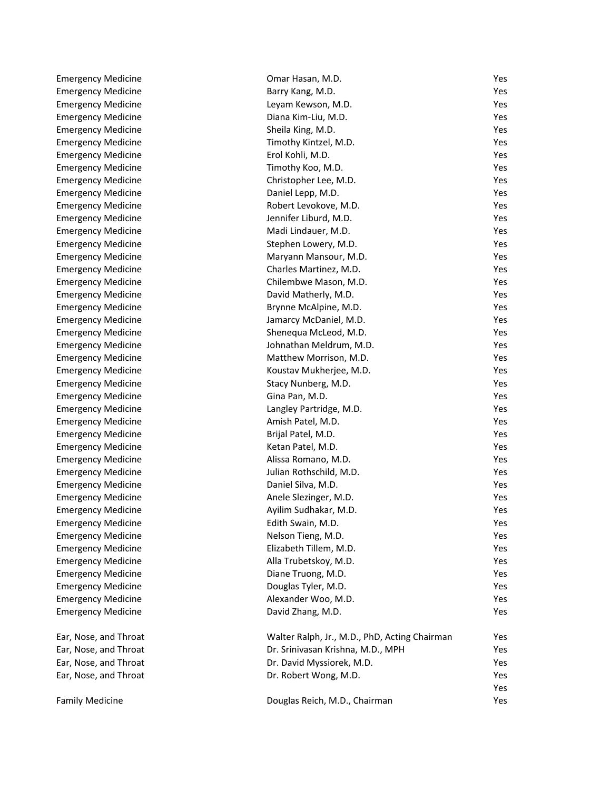| <b>Emergency Medicine</b> | Omar Hasan, M.D.                              | Yes |
|---------------------------|-----------------------------------------------|-----|
| <b>Emergency Medicine</b> | Barry Kang, M.D.                              | Yes |
| <b>Emergency Medicine</b> | Leyam Kewson, M.D.                            | Yes |
| <b>Emergency Medicine</b> | Diana Kim-Liu, M.D.                           | Yes |
| <b>Emergency Medicine</b> | Sheila King, M.D.                             | Yes |
| <b>Emergency Medicine</b> | Timothy Kintzel, M.D.                         | Yes |
| <b>Emergency Medicine</b> | Erol Kohli, M.D.                              | Yes |
| <b>Emergency Medicine</b> | Timothy Koo, M.D.                             | Yes |
| <b>Emergency Medicine</b> | Christopher Lee, M.D.                         | Yes |
| <b>Emergency Medicine</b> | Daniel Lepp, M.D.                             | Yes |
| <b>Emergency Medicine</b> | Robert Levokove, M.D.                         | Yes |
| <b>Emergency Medicine</b> | Jennifer Liburd, M.D.                         | Yes |
| <b>Emergency Medicine</b> | Madi Lindauer, M.D.                           | Yes |
| <b>Emergency Medicine</b> | Stephen Lowery, M.D.                          | Yes |
| <b>Emergency Medicine</b> | Maryann Mansour, M.D.                         | Yes |
| <b>Emergency Medicine</b> | Charles Martinez, M.D.                        | Yes |
| <b>Emergency Medicine</b> | Chilembwe Mason, M.D.                         | Yes |
| <b>Emergency Medicine</b> | David Matherly, M.D.                          | Yes |
| <b>Emergency Medicine</b> | Brynne McAlpine, M.D.                         | Yes |
| <b>Emergency Medicine</b> | Jamarcy McDaniel, M.D.                        | Yes |
| <b>Emergency Medicine</b> | Shenequa McLeod, M.D.                         | Yes |
| <b>Emergency Medicine</b> | Johnathan Meldrum, M.D.                       | Yes |
| <b>Emergency Medicine</b> | Matthew Morrison, M.D.                        | Yes |
| <b>Emergency Medicine</b> | Koustav Mukherjee, M.D.                       | Yes |
| <b>Emergency Medicine</b> | Stacy Nunberg, M.D.                           | Yes |
| <b>Emergency Medicine</b> | Gina Pan, M.D.                                | Yes |
| <b>Emergency Medicine</b> | Langley Partridge, M.D.                       | Yes |
| <b>Emergency Medicine</b> | Amish Patel, M.D.                             | Yes |
| <b>Emergency Medicine</b> | Brijal Patel, M.D.                            | Yes |
| <b>Emergency Medicine</b> | Ketan Patel, M.D.                             | Yes |
| <b>Emergency Medicine</b> | Alissa Romano, M.D.                           | Yes |
| <b>Emergency Medicine</b> | Julian Rothschild, M.D.                       | Yes |
| <b>Emergency Medicine</b> | Daniel Silva, M.D.                            | Yes |
| <b>Emergency Medicine</b> | Anele Slezinger, M.D.                         | Yes |
| <b>Emergency Medicine</b> | Ayilim Sudhakar, M.D.                         | Yes |
| <b>Emergency Medicine</b> | Edith Swain, M.D.                             | Yes |
| <b>Emergency Medicine</b> | Nelson Tieng, M.D.                            | Yes |
| <b>Emergency Medicine</b> | Elizabeth Tillem, M.D.                        | Yes |
| <b>Emergency Medicine</b> | Alla Trubetskoy, M.D.                         | Yes |
| <b>Emergency Medicine</b> | Diane Truong, M.D.                            | Yes |
| <b>Emergency Medicine</b> | Douglas Tyler, M.D.                           | Yes |
| <b>Emergency Medicine</b> | Alexander Woo, M.D.                           | Yes |
| <b>Emergency Medicine</b> | David Zhang, M.D.                             | Yes |
|                           |                                               |     |
| Ear, Nose, and Throat     | Walter Ralph, Jr., M.D., PhD, Acting Chairman | Yes |
| Ear, Nose, and Throat     | Dr. Srinivasan Krishna, M.D., MPH             | Yes |
| Ear, Nose, and Throat     | Dr. David Myssiorek, M.D.                     | Yes |
| Ear, Nose, and Throat     | Dr. Robert Wong, M.D.                         | Yes |
|                           |                                               | Yes |
| <b>Family Medicine</b>    | Douglas Reich, M.D., Chairman                 | Yes |

Yes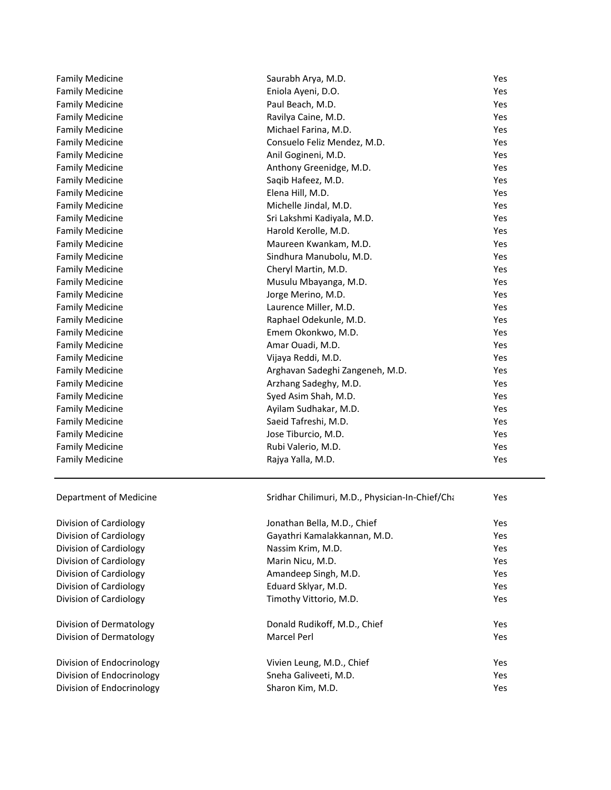| <b>Family Medicine</b>    | Saurabh Arya, M.D.                              | Yes |
|---------------------------|-------------------------------------------------|-----|
| <b>Family Medicine</b>    | Eniola Ayeni, D.O.                              | Yes |
| <b>Family Medicine</b>    | Paul Beach, M.D.                                | Yes |
| <b>Family Medicine</b>    | Ravilya Caine, M.D.                             | Yes |
| <b>Family Medicine</b>    | Michael Farina, M.D.                            | Yes |
| <b>Family Medicine</b>    | Consuelo Feliz Mendez, M.D.                     | Yes |
| <b>Family Medicine</b>    | Anil Gogineni, M.D.                             | Yes |
| <b>Family Medicine</b>    | Anthony Greenidge, M.D.                         | Yes |
| <b>Family Medicine</b>    | Saqib Hafeez, M.D.                              | Yes |
| <b>Family Medicine</b>    | Elena Hill, M.D.                                | Yes |
| <b>Family Medicine</b>    | Michelle Jindal, M.D.                           | Yes |
| <b>Family Medicine</b>    | Sri Lakshmi Kadiyala, M.D.                      | Yes |
| <b>Family Medicine</b>    | Harold Kerolle, M.D.                            | Yes |
| <b>Family Medicine</b>    | Maureen Kwankam, M.D.                           | Yes |
| <b>Family Medicine</b>    | Sindhura Manubolu, M.D.                         | Yes |
| <b>Family Medicine</b>    | Cheryl Martin, M.D.                             | Yes |
| <b>Family Medicine</b>    | Musulu Mbayanga, M.D.                           | Yes |
| <b>Family Medicine</b>    | Jorge Merino, M.D.                              | Yes |
| <b>Family Medicine</b>    | Laurence Miller, M.D.                           | Yes |
| <b>Family Medicine</b>    | Raphael Odekunle, M.D.                          | Yes |
| <b>Family Medicine</b>    | Emem Okonkwo, M.D.                              | Yes |
| <b>Family Medicine</b>    | Amar Ouadi, M.D.                                | Yes |
| <b>Family Medicine</b>    | Vijaya Reddi, M.D.                              | Yes |
| <b>Family Medicine</b>    | Arghavan Sadeghi Zangeneh, M.D.                 | Yes |
| <b>Family Medicine</b>    | Arzhang Sadeghy, M.D.                           | Yes |
| <b>Family Medicine</b>    | Syed Asim Shah, M.D.                            | Yes |
| <b>Family Medicine</b>    | Ayilam Sudhakar, M.D.                           | Yes |
| <b>Family Medicine</b>    | Saeid Tafreshi, M.D.                            | Yes |
| <b>Family Medicine</b>    | Jose Tiburcio, M.D.                             | Yes |
| <b>Family Medicine</b>    | Rubi Valerio, M.D.                              | Yes |
| <b>Family Medicine</b>    | Rajya Yalla, M.D.                               | Yes |
| Department of Medicine    | Sridhar Chilimuri, M.D., Physician-In-Chief/Cha | Yes |
| Division of Cardiology    | Jonathan Bella, M.D., Chief                     | Yes |
| Division of Cardiology    | Gayathri Kamalakkannan, M.D.                    | Yes |
| Division of Cardiology    | Nassim Krim, M.D.                               | Yes |
| Division of Cardiology    | Marin Nicu, M.D.                                | Yes |
| Division of Cardiology    | Amandeep Singh, M.D.                            | Yes |
| Division of Cardiology    | Eduard Sklyar, M.D.                             | Yes |
| Division of Cardiology    | Timothy Vittorio, M.D.                          | Yes |
| Division of Dermatology   | Donald Rudikoff, M.D., Chief                    | Yes |
| Division of Dermatology   | <b>Marcel Perl</b>                              | Yes |
| Division of Endocrinology | Vivien Leung, M.D., Chief                       | Yes |
| Division of Endocrinology | Sneha Galiveeti, M.D.                           | Yes |
| Division of Endocrinology | Sharon Kim, M.D.                                | Yes |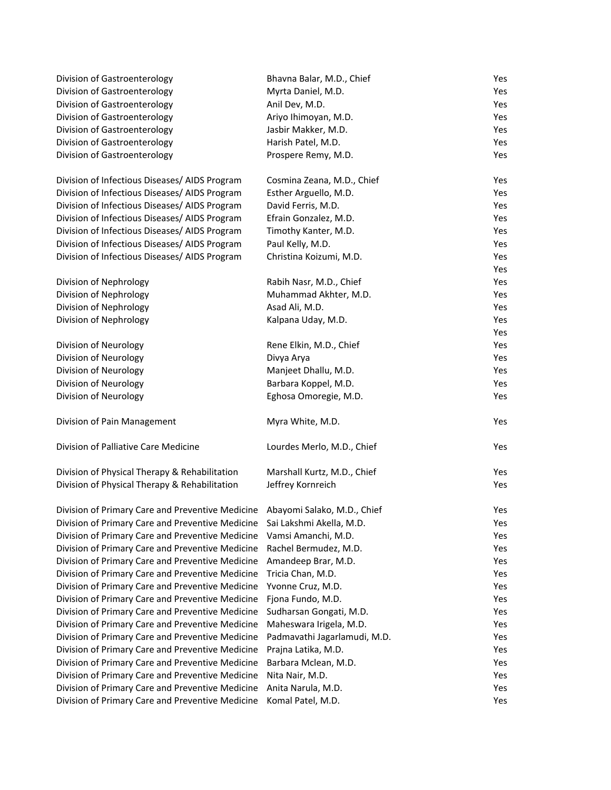| Division of Gastroenterology                                                 | Bhavna Balar, M.D., Chief    | Yes |
|------------------------------------------------------------------------------|------------------------------|-----|
| Division of Gastroenterology                                                 | Myrta Daniel, M.D.           | Yes |
| Division of Gastroenterology                                                 | Anil Dev, M.D.               | Yes |
| Division of Gastroenterology                                                 | Ariyo Ihimoyan, M.D.         | Yes |
| Division of Gastroenterology                                                 | Jasbir Makker, M.D.          | Yes |
| Division of Gastroenterology                                                 | Harish Patel, M.D.           | Yes |
| Division of Gastroenterology                                                 | Prospere Remy, M.D.          | Yes |
| Division of Infectious Diseases/ AIDS Program                                | Cosmina Zeana, M.D., Chief   | Yes |
| Division of Infectious Diseases/ AIDS Program                                | Esther Arguello, M.D.        | Yes |
| Division of Infectious Diseases/ AIDS Program                                | David Ferris, M.D.           | Yes |
| Division of Infectious Diseases/ AIDS Program                                | Efrain Gonzalez, M.D.        | Yes |
| Division of Infectious Diseases/ AIDS Program                                | Timothy Kanter, M.D.         | Yes |
| Division of Infectious Diseases/ AIDS Program                                | Paul Kelly, M.D.             | Yes |
| Division of Infectious Diseases/ AIDS Program                                | Christina Koizumi, M.D.      | Yes |
|                                                                              |                              | Yes |
| Division of Nephrology                                                       | Rabih Nasr, M.D., Chief      | Yes |
| Division of Nephrology                                                       | Muhammad Akhter, M.D.        | Yes |
| Division of Nephrology                                                       | Asad Ali, M.D.               | Yes |
| Division of Nephrology                                                       | Kalpana Uday, M.D.           | Yes |
|                                                                              |                              | Yes |
| Division of Neurology                                                        | Rene Elkin, M.D., Chief      | Yes |
| Division of Neurology                                                        | Divya Arya                   | Yes |
| Division of Neurology                                                        | Manjeet Dhallu, M.D.         | Yes |
| Division of Neurology                                                        | Barbara Koppel, M.D.         | Yes |
| Division of Neurology                                                        | Eghosa Omoregie, M.D.        | Yes |
| Division of Pain Management                                                  | Myra White, M.D.             | Yes |
| Division of Palliative Care Medicine                                         | Lourdes Merlo, M.D., Chief   | Yes |
| Division of Physical Therapy & Rehabilitation                                | Marshall Kurtz, M.D., Chief  | Yes |
| Division of Physical Therapy & Rehabilitation                                | Jeffrey Kornreich            | Yes |
| Division of Primary Care and Preventive Medicine Abayomi Salako, M.D., Chief |                              | Yes |
| Division of Primary Care and Preventive Medicine Sai Lakshmi Akella, M.D.    |                              | Yes |
| Division of Primary Care and Preventive Medicine                             | Vamsi Amanchi, M.D.          | Yes |
| Division of Primary Care and Preventive Medicine                             | Rachel Bermudez, M.D.        | Yes |
| Division of Primary Care and Preventive Medicine                             | Amandeep Brar, M.D.          | Yes |
| Division of Primary Care and Preventive Medicine                             | Tricia Chan, M.D.            | Yes |
| Division of Primary Care and Preventive Medicine                             | Yvonne Cruz, M.D.            | Yes |
| Division of Primary Care and Preventive Medicine                             | Fjona Fundo, M.D.            | Yes |
| Division of Primary Care and Preventive Medicine                             | Sudharsan Gongati, M.D.      | Yes |
| Division of Primary Care and Preventive Medicine                             | Maheswara Irigela, M.D.      | Yes |
| Division of Primary Care and Preventive Medicine                             | Padmavathi Jagarlamudi, M.D. | Yes |
| Division of Primary Care and Preventive Medicine                             | Prajna Latika, M.D.          | Yes |
| Division of Primary Care and Preventive Medicine                             | Barbara Mclean, M.D.         | Yes |
| Division of Primary Care and Preventive Medicine                             | Nita Nair, M.D.              | Yes |
| Division of Primary Care and Preventive Medicine                             |                              |     |
|                                                                              | Anita Narula, M.D.           | Yes |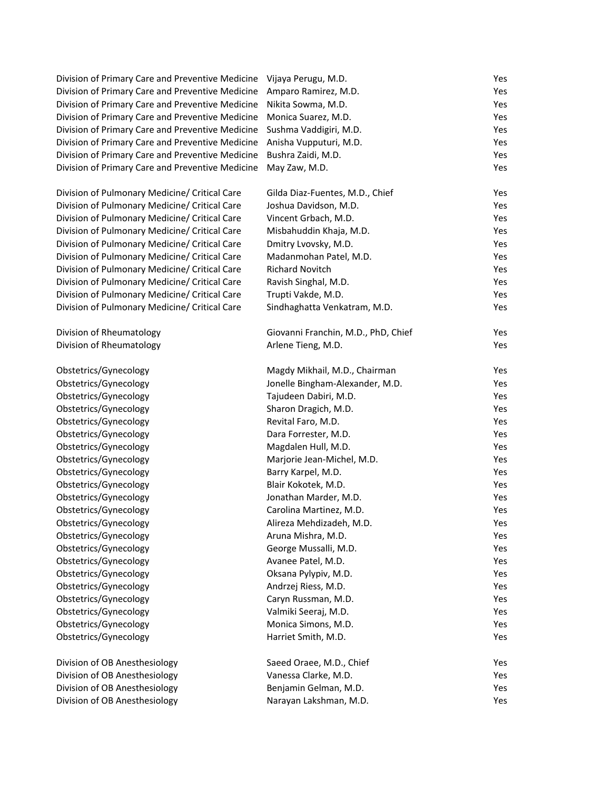| Division of Primary Care and Preventive Medicine | Vijaya Perugu, M.D.                 | Yes |
|--------------------------------------------------|-------------------------------------|-----|
| Division of Primary Care and Preventive Medicine | Amparo Ramirez, M.D.                | Yes |
| Division of Primary Care and Preventive Medicine | Nikita Sowma, M.D.                  | Yes |
| Division of Primary Care and Preventive Medicine | Monica Suarez, M.D.                 | Yes |
| Division of Primary Care and Preventive Medicine | Sushma Vaddigiri, M.D.              | Yes |
| Division of Primary Care and Preventive Medicine | Anisha Vupputuri, M.D.              | Yes |
| Division of Primary Care and Preventive Medicine | Bushra Zaidi, M.D.                  | Yes |
| Division of Primary Care and Preventive Medicine | May Zaw, M.D.                       | Yes |
| Division of Pulmonary Medicine/ Critical Care    | Gilda Diaz-Fuentes, M.D., Chief     | Yes |
| Division of Pulmonary Medicine/ Critical Care    | Joshua Davidson, M.D.               | Yes |
| Division of Pulmonary Medicine/ Critical Care    | Vincent Grbach, M.D.                | Yes |
| Division of Pulmonary Medicine/ Critical Care    | Misbahuddin Khaja, M.D.             | Yes |
| Division of Pulmonary Medicine/ Critical Care    | Dmitry Lvovsky, M.D.                | Yes |
| Division of Pulmonary Medicine/ Critical Care    | Madanmohan Patel, M.D.              | Yes |
| Division of Pulmonary Medicine/ Critical Care    | <b>Richard Novitch</b>              | Yes |
| Division of Pulmonary Medicine/ Critical Care    | Ravish Singhal, M.D.                | Yes |
| Division of Pulmonary Medicine/ Critical Care    | Trupti Vakde, M.D.                  | Yes |
| Division of Pulmonary Medicine/ Critical Care    | Sindhaghatta Venkatram, M.D.        | Yes |
| Division of Rheumatology                         | Giovanni Franchin, M.D., PhD, Chief | Yes |
| Division of Rheumatology                         | Arlene Tieng, M.D.                  | Yes |
| Obstetrics/Gynecology                            | Magdy Mikhail, M.D., Chairman       | Yes |
| Obstetrics/Gynecology                            | Jonelle Bingham-Alexander, M.D.     | Yes |
| Obstetrics/Gynecology                            | Tajudeen Dabiri, M.D.               | Yes |
| Obstetrics/Gynecology                            | Sharon Dragich, M.D.                | Yes |
| Obstetrics/Gynecology                            | Revital Faro, M.D.                  | Yes |
| Obstetrics/Gynecology                            | Dara Forrester, M.D.                | Yes |
| Obstetrics/Gynecology                            | Magdalen Hull, M.D.                 | Yes |
| Obstetrics/Gynecology                            | Marjorie Jean-Michel, M.D.          | Yes |
| Obstetrics/Gynecology                            | Barry Karpel, M.D.                  | Yes |
| Obstetrics/Gynecology                            | Blair Kokotek, M.D.                 | Yes |
| Obstetrics/Gynecology                            | Jonathan Marder, M.D.               | Yes |
| Obstetrics/Gynecology                            | Carolina Martinez, M.D.             | Yes |
| Obstetrics/Gynecology                            | Alireza Mehdizadeh, M.D.            | Yes |
| Obstetrics/Gynecology                            | Aruna Mishra, M.D.                  | Yes |
| Obstetrics/Gynecology                            | George Mussalli, M.D.               | Yes |
| Obstetrics/Gynecology                            | Avanee Patel, M.D.                  | Yes |
| Obstetrics/Gynecology                            | Oksana Pylypiv, M.D.                | Yes |
| Obstetrics/Gynecology                            | Andrzej Riess, M.D.                 | Yes |
| Obstetrics/Gynecology                            | Caryn Russman, M.D.                 | Yes |
| Obstetrics/Gynecology                            | Valmiki Seeraj, M.D.                | Yes |
| Obstetrics/Gynecology                            | Monica Simons, M.D.                 | Yes |
| Obstetrics/Gynecology                            | Harriet Smith, M.D.                 | Yes |
| Division of OB Anesthesiology                    | Saeed Oraee, M.D., Chief            | Yes |
| Division of OB Anesthesiology                    | Vanessa Clarke, M.D.                | Yes |
| Division of OB Anesthesiology                    | Benjamin Gelman, M.D.               | Yes |
| Division of OB Anesthesiology                    | Narayan Lakshman, M.D.              | Yes |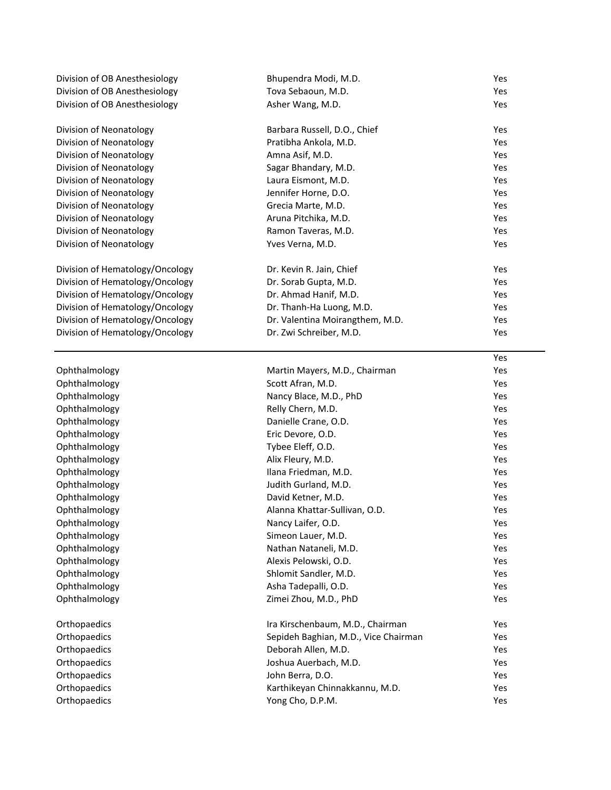| Division of OB Anesthesiology   | Bhupendra Modi, M.D.                 | Yes |
|---------------------------------|--------------------------------------|-----|
| Division of OB Anesthesiology   | Tova Sebaoun, M.D.                   | Yes |
| Division of OB Anesthesiology   | Asher Wang, M.D.                     | Yes |
| Division of Neonatology         | Barbara Russell, D.O., Chief         | Yes |
| Division of Neonatology         | Pratibha Ankola, M.D.                | Yes |
| Division of Neonatology         | Amna Asif, M.D.                      | Yes |
| Division of Neonatology         | Sagar Bhandary, M.D.                 | Yes |
| Division of Neonatology         | Laura Eismont, M.D.                  | Yes |
| Division of Neonatology         | Jennifer Horne, D.O.                 | Yes |
| Division of Neonatology         | Grecia Marte, M.D.                   | Yes |
| Division of Neonatology         | Aruna Pitchika, M.D.                 | Yes |
| Division of Neonatology         | Ramon Taveras, M.D.                  | Yes |
| Division of Neonatology         | Yves Verna, M.D.                     | Yes |
| Division of Hematology/Oncology | Dr. Kevin R. Jain, Chief             | Yes |
| Division of Hematology/Oncology | Dr. Sorab Gupta, M.D.                | Yes |
| Division of Hematology/Oncology | Dr. Ahmad Hanif, M.D.                | Yes |
| Division of Hematology/Oncology | Dr. Thanh-Ha Luong, M.D.             | Yes |
| Division of Hematology/Oncology | Dr. Valentina Moirangthem, M.D.      | Yes |
| Division of Hematology/Oncology | Dr. Zwi Schreiber, M.D.              | Yes |
|                                 |                                      | Yes |
| Ophthalmology                   | Martin Mayers, M.D., Chairman        | Yes |
| Ophthalmology                   | Scott Afran, M.D.                    | Yes |
| Ophthalmology                   | Nancy Blace, M.D., PhD               | Yes |
| Ophthalmology                   | Relly Chern, M.D.                    | Yes |
| Ophthalmology                   | Danielle Crane, O.D.                 | Yes |
| Ophthalmology                   | Eric Devore, O.D.                    | Yes |
| Ophthalmology                   | Tybee Eleff, O.D.                    | Yes |
| Ophthalmology                   | Alix Fleury, M.D.                    | Yes |
| Ophthalmology                   | Ilana Friedman, M.D.                 | Yes |
| Ophthalmology                   | Judith Gurland, M.D.                 | Yes |
| Ophthalmology                   | David Ketner, M.D.                   | Yes |
| Ophthalmology                   | Alanna Khattar-Sullivan, O.D.        | Yes |
| Ophthalmology                   | Nancy Laifer, O.D.                   | Yes |
| Ophthalmology                   | Simeon Lauer, M.D.                   | Yes |
| Ophthalmology                   | Nathan Nataneli, M.D.                | Yes |
| Ophthalmology                   | Alexis Pelowski, O.D.                | Yes |
| Ophthalmology                   | Shlomit Sandler, M.D.                | Yes |
| Ophthalmology                   | Asha Tadepalli, O.D.                 | Yes |
| Ophthalmology                   | Zimei Zhou, M.D., PhD                | Yes |
| Orthopaedics                    | Ira Kirschenbaum, M.D., Chairman     | Yes |
| Orthopaedics                    | Sepideh Baghian, M.D., Vice Chairman | Yes |
| Orthopaedics                    | Deborah Allen, M.D.                  | Yes |
| Orthopaedics                    | Joshua Auerbach, M.D.                | Yes |
| Orthopaedics                    | John Berra, D.O.                     | Yes |
| Orthopaedics                    | Karthikeyan Chinnakkannu, M.D.       | Yes |
| Orthopaedics                    | Yong Cho, D.P.M.                     | Yes |
|                                 |                                      |     |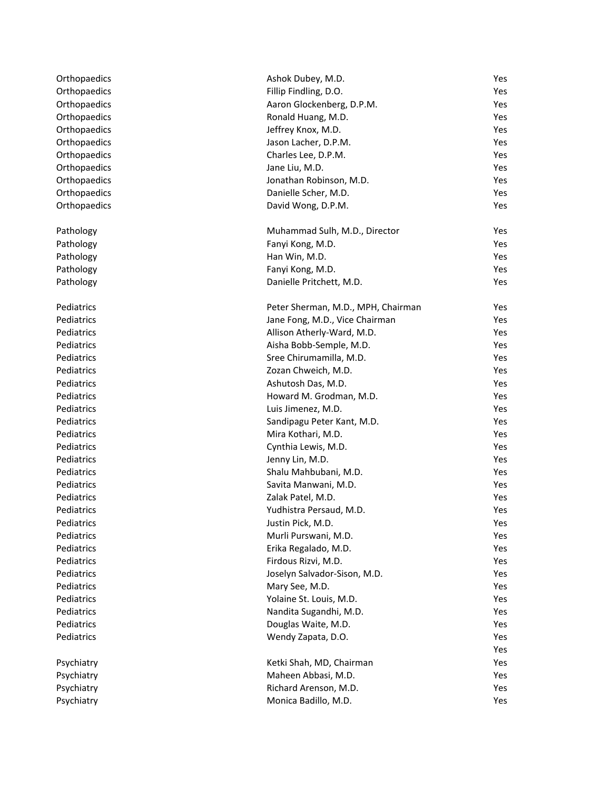| Orthopaedics | Ashok Dubey, M.D.                  | Yes |
|--------------|------------------------------------|-----|
| Orthopaedics | Fillip Findling, D.O.              | Yes |
| Orthopaedics | Aaron Glockenberg, D.P.M.          | Yes |
| Orthopaedics | Ronald Huang, M.D.                 | Yes |
| Orthopaedics | Jeffrey Knox, M.D.                 | Yes |
| Orthopaedics | Jason Lacher, D.P.M.               | Yes |
| Orthopaedics | Charles Lee, D.P.M.                | Yes |
| Orthopaedics | Jane Liu, M.D.                     | Yes |
| Orthopaedics | Jonathan Robinson, M.D.            | Yes |
| Orthopaedics | Danielle Scher, M.D.               | Yes |
| Orthopaedics | David Wong, D.P.M.                 | Yes |
|              |                                    |     |
| Pathology    | Muhammad Sulh, M.D., Director      | Yes |
| Pathology    | Fanyi Kong, M.D.                   | Yes |
| Pathology    | Han Win, M.D.                      | Yes |
| Pathology    | Fanyi Kong, M.D.                   | Yes |
| Pathology    | Danielle Pritchett, M.D.           | Yes |
|              |                                    |     |
| Pediatrics   | Peter Sherman, M.D., MPH, Chairman | Yes |
| Pediatrics   | Jane Fong, M.D., Vice Chairman     | Yes |
| Pediatrics   | Allison Atherly-Ward, M.D.         | Yes |
| Pediatrics   | Aisha Bobb-Semple, M.D.            | Yes |
| Pediatrics   | Sree Chirumamilla, M.D.            | Yes |
| Pediatrics   | Zozan Chweich, M.D.                | Yes |
| Pediatrics   | Ashutosh Das, M.D.                 | Yes |
| Pediatrics   | Howard M. Grodman, M.D.            | Yes |
| Pediatrics   | Luis Jimenez, M.D.                 | Yes |
| Pediatrics   | Sandipagu Peter Kant, M.D.         | Yes |
| Pediatrics   | Mira Kothari, M.D.                 | Yes |
| Pediatrics   | Cynthia Lewis, M.D.                | Yes |
| Pediatrics   | Jenny Lin, M.D.                    | Yes |
| Pediatrics   | Shalu Mahbubani, M.D.              | Yes |
| Pediatrics   | Savita Manwani, M.D.               | Yes |
| Pediatrics   | Zalak Patel, M.D.                  | Yes |
| Pediatrics   | Yudhistra Persaud, M.D.            | Yes |
| Pediatrics   | Justin Pick, M.D.                  | Yes |
| Pediatrics   | Murli Purswani, M.D.               | Yes |
| Pediatrics   | Erika Regalado, M.D.               | Yes |
| Pediatrics   | Firdous Rizvi, M.D.                | Yes |
| Pediatrics   | Joselyn Salvador-Sison, M.D.       | Yes |
| Pediatrics   | Mary See, M.D.                     | Yes |
| Pediatrics   | Yolaine St. Louis, M.D.            | Yes |
| Pediatrics   | Nandita Sugandhi, M.D.             | Yes |
| Pediatrics   | Douglas Waite, M.D.                | Yes |
| Pediatrics   | Wendy Zapata, D.O.                 | Yes |
|              |                                    | Yes |
| Psychiatry   | Ketki Shah, MD, Chairman           | Yes |
| Psychiatry   | Maheen Abbasi, M.D.                | Yes |
| Psychiatry   | Richard Arenson, M.D.              | Yes |
|              |                                    |     |
| Psychiatry   | Monica Badillo, M.D.               | Yes |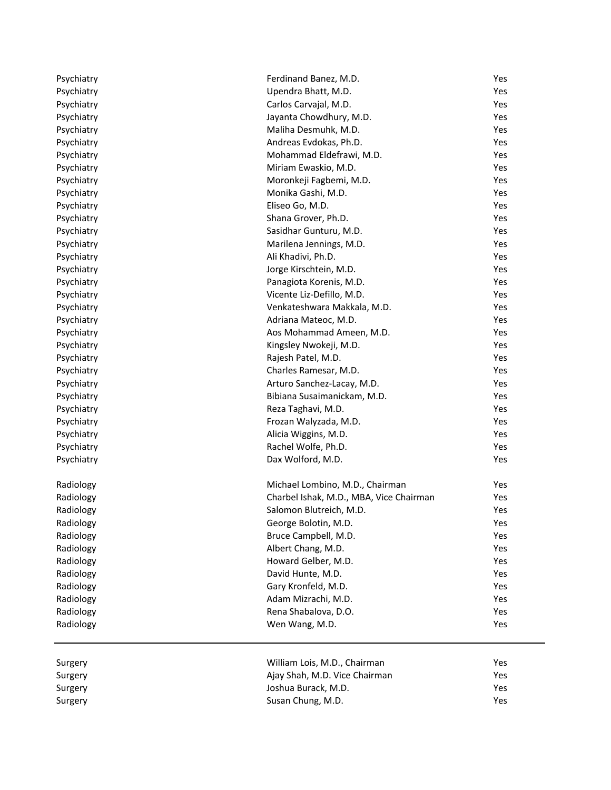| Psychiatry<br>Upendra Bhatt, M.D.<br>Yes<br>Yes<br>Psychiatry<br>Carlos Carvajal, M.D.<br>Psychiatry<br>Jayanta Chowdhury, M.D.<br>Yes<br>Psychiatry<br>Maliha Desmuhk, M.D.<br>Yes<br>Psychiatry<br>Andreas Evdokas, Ph.D.<br>Yes<br>Psychiatry<br>Mohammad Eldefrawi, M.D.<br>Yes<br>Miriam Ewaskio, M.D.<br>Psychiatry<br>Yes<br>Psychiatry<br>Moronkeji Fagbemi, M.D.<br>Yes<br>Monika Gashi, M.D.<br>Psychiatry<br>Yes<br>Eliseo Go, M.D.<br>Yes<br>Psychiatry<br>Shana Grover, Ph.D.<br>Psychiatry<br>Yes<br>Sasidhar Gunturu, M.D.<br>Psychiatry<br>Yes<br>Psychiatry<br>Marilena Jennings, M.D.<br>Yes<br>Psychiatry<br>Ali Khadivi, Ph.D.<br>Yes<br>Psychiatry<br>Jorge Kirschtein, M.D.<br>Yes<br>Psychiatry<br>Panagiota Korenis, M.D.<br>Yes<br>Vicente Liz-Defillo, M.D.<br>Psychiatry<br>Yes<br>Venkateshwara Makkala, M.D.<br>Psychiatry<br>Yes<br>Psychiatry<br>Adriana Mateoc, M.D.<br>Yes<br>Psychiatry<br>Aos Mohammad Ameen, M.D.<br>Yes<br>Psychiatry<br>Kingsley Nwokeji, M.D.<br>Yes<br>Psychiatry<br>Rajesh Patel, M.D.<br>Yes<br>Charles Ramesar, M.D.<br>Psychiatry<br>Yes<br>Arturo Sanchez-Lacay, M.D.<br>Psychiatry<br>Yes<br>Psychiatry<br>Bibiana Susaimanickam, M.D.<br>Yes<br>Psychiatry<br>Reza Taghavi, M.D.<br>Yes<br>Yes<br>Psychiatry<br>Frozan Walyzada, M.D.<br>Psychiatry<br>Alicia Wiggins, M.D.<br>Yes<br>Rachel Wolfe, Ph.D.<br>Yes<br>Psychiatry<br>Dax Wolford, M.D.<br>Psychiatry<br>Yes<br>Michael Lombino, M.D., Chairman<br>Yes<br>Radiology<br>Radiology<br>Charbel Ishak, M.D., MBA, Vice Chairman<br>Yes<br>Radiology<br>Salomon Blutreich, M.D.<br>Yes<br>Radiology<br>George Bolotin, M.D.<br>Yes<br>Radiology<br>Bruce Campbell, M.D.<br>Yes<br>Radiology<br>Albert Chang, M.D.<br>Yes<br>Radiology<br>Howard Gelber, M.D.<br>Yes<br>Radiology<br>David Hunte, M.D.<br>Yes<br>Radiology<br>Gary Kronfeld, M.D.<br>Yes<br>Adam Mizrachi, M.D.<br>Radiology<br>Yes<br>Rena Shabalova, D.O.<br>Radiology<br>Yes<br>Radiology<br>Wen Wang, M.D.<br>Yes<br>William Lois, M.D., Chairman<br>Yes<br>Surgery<br>Ajay Shah, M.D. Vice Chairman<br>Yes<br>Surgery<br>Joshua Burack, M.D.<br>Yes<br>Surgery<br>Susan Chung, M.D.<br>Yes<br>Surgery | Psychiatry | Ferdinand Banez, M.D. | Yes |
|-------------------------------------------------------------------------------------------------------------------------------------------------------------------------------------------------------------------------------------------------------------------------------------------------------------------------------------------------------------------------------------------------------------------------------------------------------------------------------------------------------------------------------------------------------------------------------------------------------------------------------------------------------------------------------------------------------------------------------------------------------------------------------------------------------------------------------------------------------------------------------------------------------------------------------------------------------------------------------------------------------------------------------------------------------------------------------------------------------------------------------------------------------------------------------------------------------------------------------------------------------------------------------------------------------------------------------------------------------------------------------------------------------------------------------------------------------------------------------------------------------------------------------------------------------------------------------------------------------------------------------------------------------------------------------------------------------------------------------------------------------------------------------------------------------------------------------------------------------------------------------------------------------------------------------------------------------------------------------------------------------------------------------------------------------------------------------------------------------------------------------------------------------------------------------------------------|------------|-----------------------|-----|
|                                                                                                                                                                                                                                                                                                                                                                                                                                                                                                                                                                                                                                                                                                                                                                                                                                                                                                                                                                                                                                                                                                                                                                                                                                                                                                                                                                                                                                                                                                                                                                                                                                                                                                                                                                                                                                                                                                                                                                                                                                                                                                                                                                                                 |            |                       |     |
|                                                                                                                                                                                                                                                                                                                                                                                                                                                                                                                                                                                                                                                                                                                                                                                                                                                                                                                                                                                                                                                                                                                                                                                                                                                                                                                                                                                                                                                                                                                                                                                                                                                                                                                                                                                                                                                                                                                                                                                                                                                                                                                                                                                                 |            |                       |     |
|                                                                                                                                                                                                                                                                                                                                                                                                                                                                                                                                                                                                                                                                                                                                                                                                                                                                                                                                                                                                                                                                                                                                                                                                                                                                                                                                                                                                                                                                                                                                                                                                                                                                                                                                                                                                                                                                                                                                                                                                                                                                                                                                                                                                 |            |                       |     |
|                                                                                                                                                                                                                                                                                                                                                                                                                                                                                                                                                                                                                                                                                                                                                                                                                                                                                                                                                                                                                                                                                                                                                                                                                                                                                                                                                                                                                                                                                                                                                                                                                                                                                                                                                                                                                                                                                                                                                                                                                                                                                                                                                                                                 |            |                       |     |
|                                                                                                                                                                                                                                                                                                                                                                                                                                                                                                                                                                                                                                                                                                                                                                                                                                                                                                                                                                                                                                                                                                                                                                                                                                                                                                                                                                                                                                                                                                                                                                                                                                                                                                                                                                                                                                                                                                                                                                                                                                                                                                                                                                                                 |            |                       |     |
|                                                                                                                                                                                                                                                                                                                                                                                                                                                                                                                                                                                                                                                                                                                                                                                                                                                                                                                                                                                                                                                                                                                                                                                                                                                                                                                                                                                                                                                                                                                                                                                                                                                                                                                                                                                                                                                                                                                                                                                                                                                                                                                                                                                                 |            |                       |     |
|                                                                                                                                                                                                                                                                                                                                                                                                                                                                                                                                                                                                                                                                                                                                                                                                                                                                                                                                                                                                                                                                                                                                                                                                                                                                                                                                                                                                                                                                                                                                                                                                                                                                                                                                                                                                                                                                                                                                                                                                                                                                                                                                                                                                 |            |                       |     |
|                                                                                                                                                                                                                                                                                                                                                                                                                                                                                                                                                                                                                                                                                                                                                                                                                                                                                                                                                                                                                                                                                                                                                                                                                                                                                                                                                                                                                                                                                                                                                                                                                                                                                                                                                                                                                                                                                                                                                                                                                                                                                                                                                                                                 |            |                       |     |
|                                                                                                                                                                                                                                                                                                                                                                                                                                                                                                                                                                                                                                                                                                                                                                                                                                                                                                                                                                                                                                                                                                                                                                                                                                                                                                                                                                                                                                                                                                                                                                                                                                                                                                                                                                                                                                                                                                                                                                                                                                                                                                                                                                                                 |            |                       |     |
|                                                                                                                                                                                                                                                                                                                                                                                                                                                                                                                                                                                                                                                                                                                                                                                                                                                                                                                                                                                                                                                                                                                                                                                                                                                                                                                                                                                                                                                                                                                                                                                                                                                                                                                                                                                                                                                                                                                                                                                                                                                                                                                                                                                                 |            |                       |     |
|                                                                                                                                                                                                                                                                                                                                                                                                                                                                                                                                                                                                                                                                                                                                                                                                                                                                                                                                                                                                                                                                                                                                                                                                                                                                                                                                                                                                                                                                                                                                                                                                                                                                                                                                                                                                                                                                                                                                                                                                                                                                                                                                                                                                 |            |                       |     |
|                                                                                                                                                                                                                                                                                                                                                                                                                                                                                                                                                                                                                                                                                                                                                                                                                                                                                                                                                                                                                                                                                                                                                                                                                                                                                                                                                                                                                                                                                                                                                                                                                                                                                                                                                                                                                                                                                                                                                                                                                                                                                                                                                                                                 |            |                       |     |
|                                                                                                                                                                                                                                                                                                                                                                                                                                                                                                                                                                                                                                                                                                                                                                                                                                                                                                                                                                                                                                                                                                                                                                                                                                                                                                                                                                                                                                                                                                                                                                                                                                                                                                                                                                                                                                                                                                                                                                                                                                                                                                                                                                                                 |            |                       |     |
|                                                                                                                                                                                                                                                                                                                                                                                                                                                                                                                                                                                                                                                                                                                                                                                                                                                                                                                                                                                                                                                                                                                                                                                                                                                                                                                                                                                                                                                                                                                                                                                                                                                                                                                                                                                                                                                                                                                                                                                                                                                                                                                                                                                                 |            |                       |     |
|                                                                                                                                                                                                                                                                                                                                                                                                                                                                                                                                                                                                                                                                                                                                                                                                                                                                                                                                                                                                                                                                                                                                                                                                                                                                                                                                                                                                                                                                                                                                                                                                                                                                                                                                                                                                                                                                                                                                                                                                                                                                                                                                                                                                 |            |                       |     |
|                                                                                                                                                                                                                                                                                                                                                                                                                                                                                                                                                                                                                                                                                                                                                                                                                                                                                                                                                                                                                                                                                                                                                                                                                                                                                                                                                                                                                                                                                                                                                                                                                                                                                                                                                                                                                                                                                                                                                                                                                                                                                                                                                                                                 |            |                       |     |
|                                                                                                                                                                                                                                                                                                                                                                                                                                                                                                                                                                                                                                                                                                                                                                                                                                                                                                                                                                                                                                                                                                                                                                                                                                                                                                                                                                                                                                                                                                                                                                                                                                                                                                                                                                                                                                                                                                                                                                                                                                                                                                                                                                                                 |            |                       |     |
|                                                                                                                                                                                                                                                                                                                                                                                                                                                                                                                                                                                                                                                                                                                                                                                                                                                                                                                                                                                                                                                                                                                                                                                                                                                                                                                                                                                                                                                                                                                                                                                                                                                                                                                                                                                                                                                                                                                                                                                                                                                                                                                                                                                                 |            |                       |     |
|                                                                                                                                                                                                                                                                                                                                                                                                                                                                                                                                                                                                                                                                                                                                                                                                                                                                                                                                                                                                                                                                                                                                                                                                                                                                                                                                                                                                                                                                                                                                                                                                                                                                                                                                                                                                                                                                                                                                                                                                                                                                                                                                                                                                 |            |                       |     |
|                                                                                                                                                                                                                                                                                                                                                                                                                                                                                                                                                                                                                                                                                                                                                                                                                                                                                                                                                                                                                                                                                                                                                                                                                                                                                                                                                                                                                                                                                                                                                                                                                                                                                                                                                                                                                                                                                                                                                                                                                                                                                                                                                                                                 |            |                       |     |
|                                                                                                                                                                                                                                                                                                                                                                                                                                                                                                                                                                                                                                                                                                                                                                                                                                                                                                                                                                                                                                                                                                                                                                                                                                                                                                                                                                                                                                                                                                                                                                                                                                                                                                                                                                                                                                                                                                                                                                                                                                                                                                                                                                                                 |            |                       |     |
|                                                                                                                                                                                                                                                                                                                                                                                                                                                                                                                                                                                                                                                                                                                                                                                                                                                                                                                                                                                                                                                                                                                                                                                                                                                                                                                                                                                                                                                                                                                                                                                                                                                                                                                                                                                                                                                                                                                                                                                                                                                                                                                                                                                                 |            |                       |     |
|                                                                                                                                                                                                                                                                                                                                                                                                                                                                                                                                                                                                                                                                                                                                                                                                                                                                                                                                                                                                                                                                                                                                                                                                                                                                                                                                                                                                                                                                                                                                                                                                                                                                                                                                                                                                                                                                                                                                                                                                                                                                                                                                                                                                 |            |                       |     |
|                                                                                                                                                                                                                                                                                                                                                                                                                                                                                                                                                                                                                                                                                                                                                                                                                                                                                                                                                                                                                                                                                                                                                                                                                                                                                                                                                                                                                                                                                                                                                                                                                                                                                                                                                                                                                                                                                                                                                                                                                                                                                                                                                                                                 |            |                       |     |
|                                                                                                                                                                                                                                                                                                                                                                                                                                                                                                                                                                                                                                                                                                                                                                                                                                                                                                                                                                                                                                                                                                                                                                                                                                                                                                                                                                                                                                                                                                                                                                                                                                                                                                                                                                                                                                                                                                                                                                                                                                                                                                                                                                                                 |            |                       |     |
|                                                                                                                                                                                                                                                                                                                                                                                                                                                                                                                                                                                                                                                                                                                                                                                                                                                                                                                                                                                                                                                                                                                                                                                                                                                                                                                                                                                                                                                                                                                                                                                                                                                                                                                                                                                                                                                                                                                                                                                                                                                                                                                                                                                                 |            |                       |     |
|                                                                                                                                                                                                                                                                                                                                                                                                                                                                                                                                                                                                                                                                                                                                                                                                                                                                                                                                                                                                                                                                                                                                                                                                                                                                                                                                                                                                                                                                                                                                                                                                                                                                                                                                                                                                                                                                                                                                                                                                                                                                                                                                                                                                 |            |                       |     |
|                                                                                                                                                                                                                                                                                                                                                                                                                                                                                                                                                                                                                                                                                                                                                                                                                                                                                                                                                                                                                                                                                                                                                                                                                                                                                                                                                                                                                                                                                                                                                                                                                                                                                                                                                                                                                                                                                                                                                                                                                                                                                                                                                                                                 |            |                       |     |
|                                                                                                                                                                                                                                                                                                                                                                                                                                                                                                                                                                                                                                                                                                                                                                                                                                                                                                                                                                                                                                                                                                                                                                                                                                                                                                                                                                                                                                                                                                                                                                                                                                                                                                                                                                                                                                                                                                                                                                                                                                                                                                                                                                                                 |            |                       |     |
|                                                                                                                                                                                                                                                                                                                                                                                                                                                                                                                                                                                                                                                                                                                                                                                                                                                                                                                                                                                                                                                                                                                                                                                                                                                                                                                                                                                                                                                                                                                                                                                                                                                                                                                                                                                                                                                                                                                                                                                                                                                                                                                                                                                                 |            |                       |     |
|                                                                                                                                                                                                                                                                                                                                                                                                                                                                                                                                                                                                                                                                                                                                                                                                                                                                                                                                                                                                                                                                                                                                                                                                                                                                                                                                                                                                                                                                                                                                                                                                                                                                                                                                                                                                                                                                                                                                                                                                                                                                                                                                                                                                 |            |                       |     |
|                                                                                                                                                                                                                                                                                                                                                                                                                                                                                                                                                                                                                                                                                                                                                                                                                                                                                                                                                                                                                                                                                                                                                                                                                                                                                                                                                                                                                                                                                                                                                                                                                                                                                                                                                                                                                                                                                                                                                                                                                                                                                                                                                                                                 |            |                       |     |
|                                                                                                                                                                                                                                                                                                                                                                                                                                                                                                                                                                                                                                                                                                                                                                                                                                                                                                                                                                                                                                                                                                                                                                                                                                                                                                                                                                                                                                                                                                                                                                                                                                                                                                                                                                                                                                                                                                                                                                                                                                                                                                                                                                                                 |            |                       |     |
|                                                                                                                                                                                                                                                                                                                                                                                                                                                                                                                                                                                                                                                                                                                                                                                                                                                                                                                                                                                                                                                                                                                                                                                                                                                                                                                                                                                                                                                                                                                                                                                                                                                                                                                                                                                                                                                                                                                                                                                                                                                                                                                                                                                                 |            |                       |     |
|                                                                                                                                                                                                                                                                                                                                                                                                                                                                                                                                                                                                                                                                                                                                                                                                                                                                                                                                                                                                                                                                                                                                                                                                                                                                                                                                                                                                                                                                                                                                                                                                                                                                                                                                                                                                                                                                                                                                                                                                                                                                                                                                                                                                 |            |                       |     |
|                                                                                                                                                                                                                                                                                                                                                                                                                                                                                                                                                                                                                                                                                                                                                                                                                                                                                                                                                                                                                                                                                                                                                                                                                                                                                                                                                                                                                                                                                                                                                                                                                                                                                                                                                                                                                                                                                                                                                                                                                                                                                                                                                                                                 |            |                       |     |
|                                                                                                                                                                                                                                                                                                                                                                                                                                                                                                                                                                                                                                                                                                                                                                                                                                                                                                                                                                                                                                                                                                                                                                                                                                                                                                                                                                                                                                                                                                                                                                                                                                                                                                                                                                                                                                                                                                                                                                                                                                                                                                                                                                                                 |            |                       |     |
|                                                                                                                                                                                                                                                                                                                                                                                                                                                                                                                                                                                                                                                                                                                                                                                                                                                                                                                                                                                                                                                                                                                                                                                                                                                                                                                                                                                                                                                                                                                                                                                                                                                                                                                                                                                                                                                                                                                                                                                                                                                                                                                                                                                                 |            |                       |     |
|                                                                                                                                                                                                                                                                                                                                                                                                                                                                                                                                                                                                                                                                                                                                                                                                                                                                                                                                                                                                                                                                                                                                                                                                                                                                                                                                                                                                                                                                                                                                                                                                                                                                                                                                                                                                                                                                                                                                                                                                                                                                                                                                                                                                 |            |                       |     |
|                                                                                                                                                                                                                                                                                                                                                                                                                                                                                                                                                                                                                                                                                                                                                                                                                                                                                                                                                                                                                                                                                                                                                                                                                                                                                                                                                                                                                                                                                                                                                                                                                                                                                                                                                                                                                                                                                                                                                                                                                                                                                                                                                                                                 |            |                       |     |
|                                                                                                                                                                                                                                                                                                                                                                                                                                                                                                                                                                                                                                                                                                                                                                                                                                                                                                                                                                                                                                                                                                                                                                                                                                                                                                                                                                                                                                                                                                                                                                                                                                                                                                                                                                                                                                                                                                                                                                                                                                                                                                                                                                                                 |            |                       |     |
|                                                                                                                                                                                                                                                                                                                                                                                                                                                                                                                                                                                                                                                                                                                                                                                                                                                                                                                                                                                                                                                                                                                                                                                                                                                                                                                                                                                                                                                                                                                                                                                                                                                                                                                                                                                                                                                                                                                                                                                                                                                                                                                                                                                                 |            |                       |     |
|                                                                                                                                                                                                                                                                                                                                                                                                                                                                                                                                                                                                                                                                                                                                                                                                                                                                                                                                                                                                                                                                                                                                                                                                                                                                                                                                                                                                                                                                                                                                                                                                                                                                                                                                                                                                                                                                                                                                                                                                                                                                                                                                                                                                 |            |                       |     |
|                                                                                                                                                                                                                                                                                                                                                                                                                                                                                                                                                                                                                                                                                                                                                                                                                                                                                                                                                                                                                                                                                                                                                                                                                                                                                                                                                                                                                                                                                                                                                                                                                                                                                                                                                                                                                                                                                                                                                                                                                                                                                                                                                                                                 |            |                       |     |
|                                                                                                                                                                                                                                                                                                                                                                                                                                                                                                                                                                                                                                                                                                                                                                                                                                                                                                                                                                                                                                                                                                                                                                                                                                                                                                                                                                                                                                                                                                                                                                                                                                                                                                                                                                                                                                                                                                                                                                                                                                                                                                                                                                                                 |            |                       |     |
|                                                                                                                                                                                                                                                                                                                                                                                                                                                                                                                                                                                                                                                                                                                                                                                                                                                                                                                                                                                                                                                                                                                                                                                                                                                                                                                                                                                                                                                                                                                                                                                                                                                                                                                                                                                                                                                                                                                                                                                                                                                                                                                                                                                                 |            |                       |     |